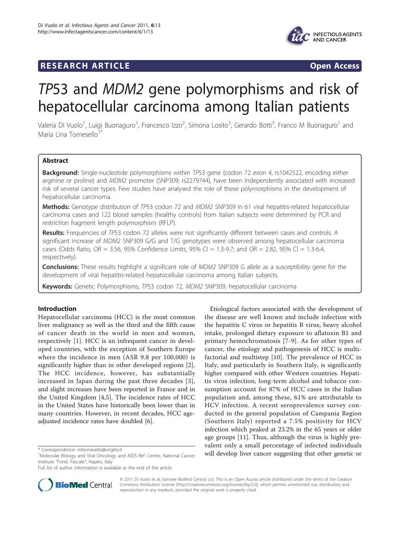

## **RESEARCH ARTICLE Example 2018 CONSIDERING ACCESS**



# TP53 and MDM2 gene polymorphisms and risk of hepatocellular carcinoma among Italian patients

Valeria Di Vuolo<sup>1</sup>, Luigi Buonaguro<sup>1</sup>, Francesco Izzo<sup>2</sup>, Simona Losito<sup>3</sup>, Gerardo Botti<sup>3</sup>, Franco M Buonaguro<sup>1</sup> and Maria Lina Tornesello $1$ 

## Abstract

Background: Single-nucleotide polymorphisms within TP53 gene (codon 72 exon 4, rs1042522, encoding either arginine or proline) and MDM2 promoter (SNP309; rs2279744), have been independently associated with increased risk of several cancer types. Few studies have analysed the role of these polymorphisms in the development of hepatocellular carcinoma.

Methods: Genotype distribution of TP53 codon 72 and MDM2 SNP309 in 61 viral hepatitis-related hepatocellular carcinoma cases and 122 blood samples (healthy controls) from Italian subjects were determined by PCR and restriction fragment length polymorphism (RFLP).

Results: Frequencies of TP53 codon 72 alleles were not significantly different between cases and controls. A significant increase of MDM2 SNP309 G/G and T/G genotypes were observed among hepatocellular carcinoma cases (Odds Ratio, OR = 3.56, 95% Confidence Limits, 95% CI = 1.3-9.7; and OR = 2.82, 95% CI = 1.3-6.4, respectively).

**Conclusions:** These results highlight a significant role of MDM2 SNP309 G allele as a susceptibility gene for the development of viral hepatitis-related hepatocellular carcinoma among Italian subjects.

Keywords: Genetic Polymorphisms, TP53 codon 72, MDM2 SNP309, hepatocellular carcinoma

## Introduction

Hepatocellular carcinoma (HCC) is the most common liver malignancy as well as the third and the fifth cause of cancer death in the world in men and women, respectively [[1\]](#page-4-0). HCC is an infrequent cancer in developed countries, with the exception of Southern Europe where the incidence in men (ASR 9.8 per 100,000) is significantly higher than in other developed regions [\[2](#page-4-0)]. The HCC incidence, however, has substantially increased in Japan during the past three decades [[3\]](#page-4-0), and slight increases have been reported in France and in the United Kingdom [\[4](#page-4-0),[5\]](#page-4-0). The incidence rates of HCC in the United States have historically been lower than in many countries. However, in recent decades, HCC ageadjusted incidence rates have doubled [\[6\]](#page-4-0).

Full list of author information is available at the end of the article



Etiological factors associated with the development of the disease are well known and include infection with the hepatitis C virus or hepatitis B virus, heavy alcohol



© 2011 Di Vuolo et al; licensee BioMed Central Ltd. This is an Open Access article distributed under the terms of the Creative Commons Attribution License [\(http://creativecommons.org/licenses/by/2.0](http://creativecommons.org/licenses/by/2.0)), which permits unrestricted use, distribution, and reproduction in any medium, provided the original work is properly cited.

<sup>&</sup>lt;sup>1</sup>Molecular Biology and Viral Oncology and AIDS Ref. Centre, National Cancer Institute "Fond. Pascale", Naples, Italy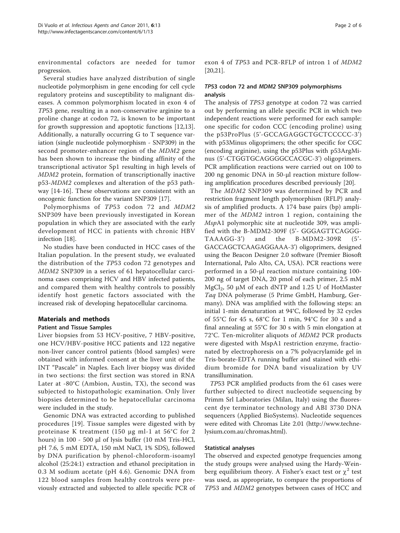environmental cofactors are needed for tumor progression.

Several studies have analyzed distribution of single nucleotide polymorphism in gene encoding for cell cycle regulatory proteins and susceptibility to malignant diseases. A common polymorphism located in exon 4 of TP53 gene, resulting in a non-conservative arginine to a proline change at codon 72, is known to be important for growth suppression and apoptotic functions [[12,13](#page-5-0)]. Additionally, a naturally occurring G to T sequence variation (single nucleotide polymorphism - SNP309) in the second promoter-enhancer region of the MDM2 gene has been shown to increase the binding affinity of the transcriptional activator Sp1 resulting in high levels of MDM2 protein, formation of transcriptionally inactive p53-MDM2 complexes and alteration of the p53 pathway [\[14-16](#page-5-0)]. These observations are consistent with an oncogenic function for the variant SNP309 [[17](#page-5-0)].

Polymorphisms of TP53 codon 72 and MDM2 SNP309 have been previously investigated in Korean population in which they are associated with the early development of HCC in patients with chronic HBV infection [[18\]](#page-5-0).

No studies have been conducted in HCC cases of the Italian population. In the present study, we evaluated the distribution of the TP53 codon 72 genotypes and MDM2 SNP309 in a series of 61 hepatocellular carcinoma cases comprising HCV and HBV infected patients, and compared them with healthy controls to possibly identify host genetic factors associated with the increased risk of developing hepatocellular carcinoma.

## Materials and methods

#### Patient and Tissue Samples

Liver biopsies from 53 HCV-positive, 7 HBV-positive, one HCV/HBV-positive HCC patients and 122 negative non-liver cancer control patients (blood samples) were obtained with informed consent at the liver unit of the INT "Pascale" in Naples. Each liver biopsy was divided in two sections: the first section was stored in RNA Later at -80°C (Ambion, Austin, TX), the second was subjected to histopathologic examination. Only liver biopsies determined to be hepatocellular carcinoma were included in the study.

Genomic DNA was extracted according to published procedures [\[19](#page-5-0)]. Tissue samples were digested with by proteinase K treatment (150 μg ml-1 at 56°C for 2 hours) in 100 - 500 μl of lysis buffer (10 mM Tris-HCl, pH 7.6, 5 mM EDTA, 150 mM NaCl, 1% SDS), followed by DNA purification by phenol-chloroform-isoamyl alcohol (25:24:1) extraction and ethanol precipitation in 0.3 M sodium acetate (pH 4.6). Genomic DNA from 122 blood samples from healthy controls were previously extracted and subjected to allele specific PCR of

exon 4 of TP53 and PCR-RFLP of intron 1 of MDM2 [[20,21\]](#page-5-0).

## TP53 codon 72 and MDM2 SNP309 polymorphisms analysis

The analysis of TP53 genotype at codon 72 was carried out by performing an allele specific PCR in which two independent reactions were performed for each sample: one specific for codon CCC (encoding proline) using the p53ProPlus (5'-GCCAGAGGCTGCTCCCCC-3') with p53Minus oligoprimers; the other specific for CGC (encoding arginine), using the p53Plus with p53ArgMinus (5'-CTGGTGCAGGGGCCACGC-3') oligoprimers. PCR amplification reactions were carried out on 100 to 200 ng genomic DNA in 50-μl reaction mixture following amplification procedures described previously [[20](#page-5-0)].

The MDM2 SNP309 was determined by PCR and restriction fragment length polymorphism (RFLP) analysis of amplified products. A 174 base pairs (bp) amplimer of the MDM2 intron 1 region, containing the MspA1 polymorphic site at nucleotide 309, was amplified with the B-MDM2-309F (5'- GGGAGTTCAGGG-TAAAGG-3') and the B-MDM2-309R (5'- GACCAGCTCAAGAGGAAA-3') oligoprimers, designed using the Beacon Designer 2.0 software (Premier Biosoft International, Palo Alto, CA, USA). PCR reactions were performed in a 50-μl reaction mixture containing 100- 200 ng of target DNA, 20 pmol of each primer, 2.5 mM  $MgCl<sub>2</sub>$ , 50 µM of each dNTP and 1.25 U of HotMaster Taq DNA polymerase (5 Prime GmbH, Hamburg, Germany). DNA was amplified with the following steps: an initial 1-min denaturation at 94°C, followed by 32 cycles of 55°C for 45 s, 68°C for 1 min, 94°C for 30 s and a final annealing at 55°C for 30 s with 5 min elongation at 72°C. Ten-microliter aliquots of MDM2 PCR products were digested with MspA1 restriction enzyme, fractionated by electrophoresis on a 7% polyacrylamide gel in Tris-borate-EDTA running buffer and stained with ethidium bromide for DNA band visualization by UV transillumination.

TP53 PCR amplified products from the 61 cases were further subjected to direct nucleotide sequencing by Primm Srl Laboratories (Milan, Italy) using the fluorescent dye terminator technology and ABI 3730 DNA sequencers (Applied BioSystems). Nucleotide sequences were edited with Chromas Lite 2.01 [\(http://www.techne](http://www.technelysium.com.au/chromas.html)[lysium.com.au/chromas.html](http://www.technelysium.com.au/chromas.html)).

#### Statistical analyses

The observed and expected genotype frequencies among the study groups were analysed using the Hardy-Weinberg equilibrium theory. A Fisher's exact test or  $\chi^2$  test was used, as appropriate, to compare the proportions of TP53 and MDM2 genotypes between cases of HCC and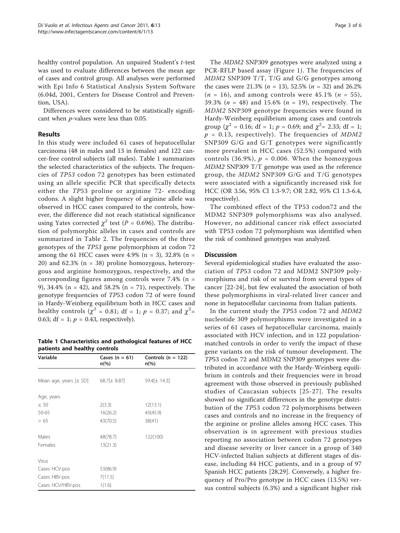healthy control population. An unpaired Student's t-test was used to evaluate differences between the mean age of cases and control group. All analyses were performed with Epi Info 6 Statistical Analysis System Software (6.04d, 2001, Centers for Disease Control and Prevention, USA).

Differences were considered to be statistically significant when p-values were less than 0.05.

## Results

In this study were included 61 cases of hepatocellular carcinoma (48 in males and 13 in females) and 122 cancer-free control subjects (all males). Table 1 summarizes the selected characteristics of the subjects. The frequencies of TP53 codon 72 genotypes has been estimated using an allele specific PCR that specifically detects either the TP53 proline or arginine 72- encoding codons. A slight higher frequency of arginine allele was observed in HCC cases compared to the controls, however, the difference did not reach statistical significance using Yates corrected  $\chi^2$  test (P = 0.696). The distribution of polymorphic alleles in cases and controls are summarized in Table [2.](#page-3-0) The frequencies of the three genotypes of the TP53 gene polymorphism at codon 72 among the 61 HCC cases were 4.9% (n = 3), 32.8% (n = 20) and 62.3% (n = 38) proline homozygous, heterozygous and arginine homozygous, respectively, and the corresponding figures among controls were 7.4% (n = 9), 34.4% (n = 42), and 58.2% (n = 71), respectively. The genotype frequencies of TP53 codon 72 of were found in Hardy-Weinberg equilibrium both in HCC cases and healthy controls ( $\chi^2$  = 0.81; df = 1;  $p$  = 0.37; and  $\chi^2$ = 0.63; df = 1;  $p = 0.43$ , respectively).

Table 1 Characteristics and pathological features of HCC patients and healthy controls

| Variable                   | Cases $(n = 61)$<br>$n\frac{6}{6}$ | Controls ( $n = 122$ )<br>n(%) |
|----------------------------|------------------------------------|--------------------------------|
| Mean age, years $[\pm$ SD] | $68.7[\pm 8.87]$                   | 59.4[± 14.3]                   |
|                            |                                    |                                |
| Age, years                 |                                    |                                |
| $\leq 50$                  | 2(3.3)                             | 12(13.1)                       |
| 50-65                      | 16(26.2)                           | 43(45.9)                       |
| >65                        | 43(70.5)                           | 38(41)                         |
|                            |                                    |                                |
| Males                      | 48(78.7)                           | 122(100)                       |
| Females                    | 13(21.3)                           |                                |
|                            |                                    |                                |
| Virus                      |                                    |                                |
| Cases HCV-pos              | 53(86.9)                           |                                |
| Cases HBV-pos              | 7(11.5)                            |                                |
| Cases HCV/HBV-pos          | 1(1.6)                             |                                |

The MDM2 SNP309 genotypes were analyzed using a PCR-RFLP based assay (Figure [1](#page-3-0)). The frequencies of MDM2 SNP309 T/T, T/G and G/G genotypes among the cases were 21.3% ( $n = 13$ ), 52.5% ( $n = 32$ ) and 26.2%  $(n = 16)$ , and among controls were 45.1%  $(n = 55)$ , 39.3% ( $n = 48$ ) and 15.6% ( $n = 19$ ), respectively. The MDM2 SNP309 genotype frequencies were found in Hardy-Weinberg equilibrium among cases and controls group ( $\chi^2$  = 0.16; df = 1; p = 0.69; and  $\chi^2$  = 2.33; df = 1;  $p = 0.13$ , respectively). The frequencies of MDM2 SNP309 G/G and G/T genotypes were significantly more prevalent in HCC cases (52.5%) compared with controls (36.9%),  $p = 0.006$ . When the homozygous MDM2 SNP309 T/T genotype was used as the reference group, the MDM2 SNP309 G/G and T/G genotypes were associated with a significantly increased risk for HCC (OR 3.56, 95% CI 1.3-9.7; OR 2.82, 95% CI 1.3-6.4, respectively).

The combined effect of the TP53 codon72 and the MDM2 SNP309 polymorphisms was also analysed. However, no additional cancer risk effect associated with TP53 codon 72 polymorphism was identified when the risk of combined genotypes was analyzed.

## **Discussion**

Several epidemiological studies have evaluated the association of TP53 codon 72 and MDM2 SNP309 polymorphisms and risk of or survival from several types of cancer [[22-24\]](#page-5-0), but few evaluated the association of both these polymorphisms in viral-related liver cancer and none in hepatocellular carcinoma from Italian patients.

In the current study the TP53 codon 72 and MDM2 nucleotide 309 polymorphisms were investigated in a series of 61 cases of hepatocellular carcinoma, mainly associated with HCV infection, and in 122 populationmatched controls in order to verify the impact of these gene variants on the risk of tumour development. The TP53 codon 72 and MDM2 SNP309 genotypes were distributed in accordance with the Hardy-Weinberg equilibrium in controls and their frequencies were in broad agreement with those observed in previously published studies of Caucasian subjects [[25-27](#page-5-0)]. The results showed no significant differences in the genotype distribution of the TP53 codon 72 polymorphisms between cases and controls and no increase in the frequency of the arginine or proline alleles among HCC cases. This observation is in agreement with previous studies reporting no association between codon 72 genotypes and disease severity or liver cancer in a group of 340 HCV-infected Italian subjects at different stages of disease, including 84 HCC patients, and in a group of 97 Spanish HCC patients [[28,29](#page-5-0)]. Conversely, a higher frequency of Pro/Pro genotype in HCC cases (13.5%) versus control subjects (6.3%) and a significant higher risk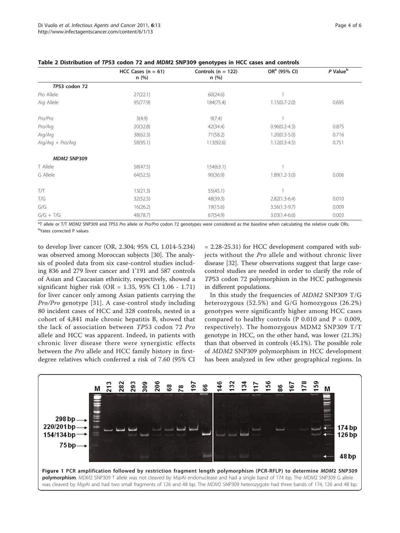|                     | HCC Cases $(n = 61)$ | Controls ( $n = 122$ ) | OR <sup>a</sup> (95% CI) | P Value <sup>b</sup> |
|---------------------|----------------------|------------------------|--------------------------|----------------------|
|                     | n(%)                 | n(%)                   |                          |                      |
| TP53 codon 72       |                      |                        |                          |                      |
| Pro Allele          | 27(22.1)             | 60(24.6)               |                          |                      |
| Arg Allele          | 95(77.9)             | 184(75.4)              | $1.15(0.7 - 2.0)$        | 0.695                |
| Pro/Pro             | 3(4.9)               | 9(7.4)                 |                          |                      |
| Pro/Arg             | 20(32.8)             | 42(34.4)               | $0.96(0.2 - 4.3)$        | 0.875                |
| Arg/Arg             | 38(62.3)             | 71(58.2)               | $1.20(0.3-5.0)$          | 0.716                |
| $Arg/Arg + Pro/Arg$ | 58(95.1)             | 113(92.6)              | $1.12(0.3-4.5)$          | 0.751                |
| MDM2 SNP309         |                      |                        |                          |                      |
| T Allele            | 58(47.5)             | 154(63.1)              |                          |                      |
| G Allele            | 64(52.5)             | 90(36.9)               | $1.89(1.2 - 3.0)$        | 0.006                |
| T/T                 | 13(21.3)             | 55(45.1)               |                          |                      |
| T/G                 | 32(52.5)             | 48(39.3)               | $2.82(1.3-6.4)$          | 0.010                |
| G/G                 | 16(26.2)             | 19(15.6)               | $3.56(1.3-9.7)$          | 0.009                |
| $G/G + T/G$         | 48(78.7)             | 67(54.9)               | $3.03(1.4-6.6)$          | 0.003                |
|                     |                      |                        |                          |                      |

<span id="page-3-0"></span>Table 2 Distribution of TP53 codon 72 and MDM2 SNP309 genotypes in HCC cases and controls

<sup>a</sup>T allele or T/T MDM2 SNP309 and TP53 Pro allele or Pro/Pro codon 72 genotypes were considered as the baseline when calculating the relative crude ORs. <sup>b</sup>Yates corrected P values

to develop liver cancer (OR, 2.304; 95% CI, 1.014-5.234) was observed among Moroccan subjects [\[30](#page-5-0)]. The analysis of pooled data from six case-control studies including 836 and 279 liver cancer and 1'191 and 587 controls of Asian and Caucasian ethnicity, respectively, showed a significant higher risk (OR = 1.35, 95% CI 1.06 - 1.71) for liver cancer only among Asian patients carrying the Pro/Pro genotype [[31](#page-5-0)]. A case-control study including 80 incident cases of HCC and 328 controls, nested in a cohort of 4,841 male chronic hepatitis B, showed that the lack of association between TP53 codon 72 Pro allele and HCC was apparent. Indeed, in patients with chronic liver disease there were synergistic effects between the Pro allele and HCC family history in firstdegree relatives which conferred a risk of 7.60 (95% CI

= 2.28-25.31) for HCC development compared with subjects without the Pro allele and without chronic liver disease [\[32\]](#page-5-0). These observations suggest that large casecontrol studies are needed in order to clarify the role of TP53 codon 72 polymorphism in the HCC pathogenesis in different populations.

In this study the frequencies of MDM2 SNP309 T/G heterozygous (52.5%) and G/G homozygous (26.2%) genotypes were significantly higher among HCC cases compared to healthy controls (P 0.010 and  $P = 0.009$ , respectively). The homozygous MDM2 SNP309 T/T genotype in HCC, on the other hand, was lower (21.3%) than that observed in controls (45.1%). The possible role of MDM2 SNP309 polymorphism in HCC development has been analyzed in few other geographical regions. In

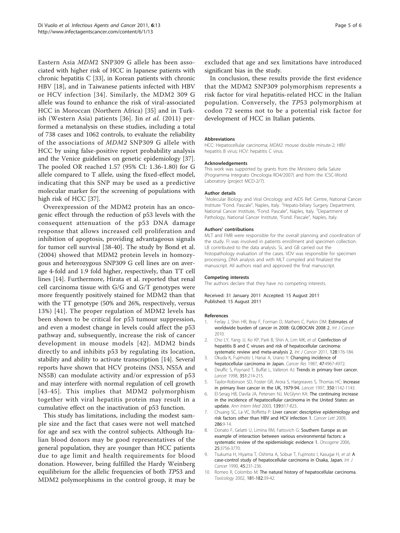<span id="page-4-0"></span>Eastern Asia MDM2 SNP309 G allele has been associated with higher risk of HCC in Japanese patients with chronic hepatitis C [\[33](#page-5-0)], in Korean patients with chronic HBV [\[18](#page-5-0)], and in Taiwanese patients infected with HBV or HCV infection [[34\]](#page-5-0). Similarly, the MDM2 309 G allele was found to enhance the risk of viral-associated HCC in Moroccan (Northern Africa) [\[35](#page-5-0)] and in Turkish (Western Asia) patients [[36](#page-5-0)]. Jin et al. (2011) performed a metanalysis on these studies, including a total of 738 cases and 1062 controls, to evaluate the reliability of the associations of MDM2 SNP309 G allele with HCC by using false-positive report probability analysis and the Venice guidelines on genetic epidemiology [\[37](#page-5-0)]. The pooled OR reached 1.57 (95% CI: 1.36-1.80) for G allele compared to T allele, using the fixed-effect model, indicating that this SNP may be used as a predictive molecular marker for the screening of populations with high risk of HCC [\[37\]](#page-5-0).

Overexpression of the MDM2 protein has an oncogenic effect through the reduction of p53 levels with the consequent attenuation of the p53 DNA damage response that allows increased cell proliferation and inhibition of apoptosis, providing advantageous signals for tumor cell survival [[38-40](#page-5-0)]. The study by Bond et al. (2004) showed that MDM2 protein levels in homozygous and heterozygous SNP309 G cell lines are on average 4-fold and 1.9 fold higher, respectively, than TT cell lines [\[14](#page-5-0)]. Furthermore, Hirata et al. reported that renal cell carcinoma tissue with G/G and G/T genotypes were more frequently positively stained for MDM2 than that with the TT genotype (50% and 26%, respectively, versus 13%) [\[41\]](#page-5-0). The proper regulation of MDM2 levels has been shown to be critical for p53 tumour suppression, and even a modest change in levels could affect the p53 pathway and, subsequently, increase the risk of cancer development in mouse models [[42](#page-5-0)]. MDM2 binds directly to and inhibits p53 by regulating its location, stability and ability to activate transcription [\[14\]](#page-5-0). Several reports have shown that HCV proteins (NS3, NS5A and NS5B) can modulate activity and/or expression of p53 and may interfere with normal regulation of cell growth [[43](#page-5-0)-[45\]](#page-5-0). This implies that MDM2 polymorphism together with viral hepatitis protein may result in a cumulative effect on the inactivation of p53 function.

This study has limitations, including the modest sample size and the fact that cases were not well matched for age and sex with the control subjects. Although Italian blood donors may be good representatives of the general population, they are younger than HCC patients due to age limit and health requirements for blood donation. However, being fulfilled the Hardy Weinberg equilibrium for the allelic frequencies of both TP53 and MDM2 polymorphisms in the control group, it may be excluded that age and sex limitations have introduced significant bias in the study.

In conclusion, these results provide the first evidence that the MDM2 SNP309 polymorphism represents a risk factor for viral hepatitis-related HCC in the Italian population. Conversely, the TP53 polymorphism at codon 72 seems not to be a potential risk factor for development of HCC in Italian patients.

#### Abbreviations

HCC: Hepatocellular carcinoma; MDM2: mouse double minute-2; HBV: hepatitis B virus; HCV: hepatitis C virus.

#### Acknowledgements

This work was supported by grants from the Ministero della Salute (Programma Integrato Oncologia RO4/2007) and from the ICSC-World Laboratory (project MCD-2/7).

#### Author details

<sup>1</sup>Molecular Biology and Viral Oncology and AIDS Ref. Centre, National Cancer Institute "Fond. Pascale", Naples, Italy. <sup>2</sup> Hepato-biliary Surgery Department, National Cancer Institute, "Fond. Pascale", Naples, Italy. <sup>3</sup>Department of Pathology, National Cancer Institute, "Fond. Pascale", Naples, Italy.

#### Authors' contributions

MLT and FMB were responsible for the overall planning and coordination of the study. FI was involved in patients enrollment and specimen collection. LB contributed to the data analysis. SL and GB carried out the histopathology evaluation of the cases. VDV was responsible for specimen processing, DNA analysis and with MLT compiled and finalized the manuscript. All authors read and approved the final manuscript.

#### Competing interests

The authors declare that they have no competing interests.

Received: 31 January 2011 Accepted: 15 August 2011 Published: 15 August 2011

#### References

- 1. Ferlay J, Shin HR, Bray F, Forman D, Mathers C, Parkin DM: Estimates of worldwide burden of cancer in 2008: GLOBOCAN 2008 2. Int J Cancer 2010.
- 2. Cho LY, Yang JJ, Ko KP, Park B, Shin A, Lim MK, et al: [Coinfection of](http://www.ncbi.nlm.nih.gov/pubmed/20232388?dopt=Abstract) [hepatitis B and C viruses and risk of hepatocellular carcinoma:](http://www.ncbi.nlm.nih.gov/pubmed/20232388?dopt=Abstract) [systematic review and meta-analysis 2.](http://www.ncbi.nlm.nih.gov/pubmed/20232388?dopt=Abstract) Int J Cancer 2011, 128:176-184.
- Okuda K, Fujimoto I, Hanai A, Urano Y: [Changing incidence of](http://www.ncbi.nlm.nih.gov/pubmed/3040235?dopt=Abstract) [hepatocellular carcinoma in Japan.](http://www.ncbi.nlm.nih.gov/pubmed/3040235?dopt=Abstract) Cancer Res 1987, 47:4967-4972.
- 4. Deuffic S, Poynard T, Buffat L, Valleron AJ: [Trends in primary liver cancer.](http://www.ncbi.nlm.nih.gov/pubmed/9449893?dopt=Abstract) Lancet 1998, 351:214-215.
- 5. Taylor-Robinson SD, Foster GR, Arora S, Hargreaves S, Thomas HC: [Increase](http://www.ncbi.nlm.nih.gov/pubmed/9343506?dopt=Abstract) [in primary liver cancer in the UK, 1979-94.](http://www.ncbi.nlm.nih.gov/pubmed/9343506?dopt=Abstract) Lancet 1997, 350:1142-1143.
- 6. El-Serag HB, Davila JA, Petersen NJ, McGlynn KA: [The continuing increase](http://www.ncbi.nlm.nih.gov/pubmed/14623619?dopt=Abstract) [in the incidence of hepatocellular carcinoma in the United States: an](http://www.ncbi.nlm.nih.gov/pubmed/14623619?dopt=Abstract) [update.](http://www.ncbi.nlm.nih.gov/pubmed/14623619?dopt=Abstract) Ann Intern Med 2003, 139:817-823.
- 7. Chuang SC, La VC, Boffetta P: [Liver cancer: descriptive epidemiology and](http://www.ncbi.nlm.nih.gov/pubmed/19091458?dopt=Abstract) [risk factors other than HBV and HCV infection 1.](http://www.ncbi.nlm.nih.gov/pubmed/19091458?dopt=Abstract) Cancer Lett 2009, 286:9-14.
- 8. Donato F, Gelatti U, Limina RM, Fattovich G: [Southern Europe as an](http://www.ncbi.nlm.nih.gov/pubmed/16799617?dopt=Abstract) [example of interaction between various environmental factors: a](http://www.ncbi.nlm.nih.gov/pubmed/16799617?dopt=Abstract) [systematic review of the epidemiologic evidence 1.](http://www.ncbi.nlm.nih.gov/pubmed/16799617?dopt=Abstract) Oncogene 2006, 25:3756-3770.
- Tsukuma H, Hiyama T, Oshima [A](http://www.ncbi.nlm.nih.gov/pubmed/2154409?dopt=Abstract), Sobue T, Fujimoto I, Kasugai H, et al: A [case-control study of hepatocellular carcinoma in Osaka, Japan.](http://www.ncbi.nlm.nih.gov/pubmed/2154409?dopt=Abstract) Int J Cancer 1990, 45:231-236.
- 10. Romeo R, Colombo M: [The natural history of hepatocellular carcinoma.](http://www.ncbi.nlm.nih.gov/pubmed/12505282?dopt=Abstract) Toxicology 2002, 181-182:39-42.